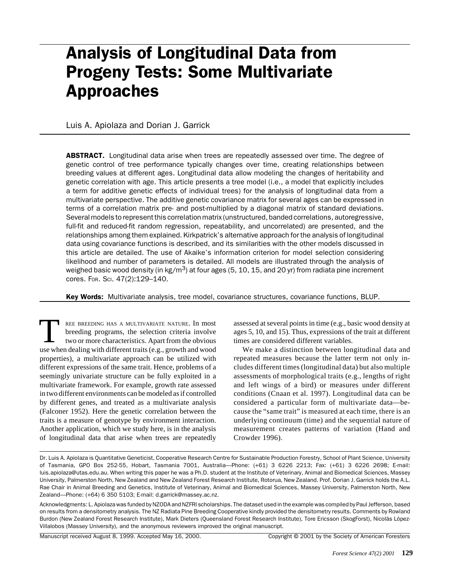# Analysis of Longitudinal Data from Progeny Tests: Some Multivariate Approaches

Luis A. Apiolaza and Dorian J. Garrick

**ABSTRACT.** Longitudinal data arise when trees are repeatedly assessed over time. The degree of genetic control of tree performance typically changes over time, creating relationships between breeding values at different ages. Longitudinal data allow modeling the changes of heritability and genetic correlation with age. This article presents a tree model (i.e., a model that explicitly includes a term for additive genetic effects of individual trees) for the analysis of longitudinal data from a multivariate perspective. The additive genetic covariance matrix for several ages can be expressed in terms of a correlation matrix pre- and post-multiplied by a diagonal matrix of standard deviations. Several models to represent this correlation matrix (unstructured, banded correlations, autoregressive, full-fit and reduced-fit random regression, repeatability, and uncorrelated) are presented, and the relationships among them explained. Kirkpatrick's alternative approach for the analysis of longitudinal data using covariance functions is described, and its similarities with the other models discussed in this article are detailed. The use of Akaike's information criterion for model selection considering likelihood and number of parameters is detailed. All models are illustrated through the analysis of weighed basic wood density (in kg/m<sup>3</sup>) at four ages (5, 10, 15, and 20 yr) from radiata pine increment cores. FOR. SCI. 47(2):129–140.

Key Words: Multivariate analysis, tree model, covariance structures, covariance functions, BLUP.

REE BREEDING HAS A MULTIVARIATE NATURE. In most<br>breeding programs, the selection criteria involve<br>two or more characteristics. Apart from the obvious breeding programs, the selection criteria involve two or more characteristics. Apart from the obvious use when dealing with different traits (e.g., growth and wood properties), a multivariate approach can be utilized with different expressions of the same trait. Hence, problems of a seemingly univariate structure can be fully exploited in a multivariate framework. For example, growth rate assessed in two different environments can be modeled as if controlled by different genes, and treated as a multivariate analysis (Falconer 1952). Here the genetic correlation between the traits is a measure of genotype by environment interaction. Another application, which we study here, is in the analysis of longitudinal data that arise when trees are repeatedly

assessed at several points in time (e.g., basic wood density at ages 5, 10, and 15). Thus, expressions of the trait at different times are considered different variables.

We make a distinction between longitudinal data and repeated measures because the latter term not only includes different times (longitudinal data) but also multiple assessments of morphological traits (e.g., lengths of right and left wings of a bird) or measures under different conditions (Cnaan et al. 1997). Longitudinal data can be considered a particular form of multivariate data—because the "same trait" is measured at each time, there is an underlying continuum (time) and the sequential nature of measurement creates patterns of variation (Hand and Crowder 1996).

Dr. Luis A. Apiolaza is Quantitative Geneticist, Cooperative Research Centre for Sustainable Production Forestry, School of Plant Science, University of Tasmania, GPO Box 252-55, Hobart, Tasmania 7001, Australia—Phone: (+61) 3 6226 2213; Fax: (+61) 3 6226 2698; E-mail: luis.apiolaza@utas.edu.au. When writing this paper he was a Ph.D. student at the Institute of Veterinary, Animal and Biomedical Sciences, Massey University, Palmerston North, New Zealand and New Zealand Forest Research Institute, Rotorua, New Zealand. Prof. Dorian J. Garrick holds the A.L. Rae Chair in Animal Breeding and Genetics, Institute of Veterinary, Animal and Biomedical Sciences, Massey University, Palmerston North, New Zealand—Phone: (+64) 6 350 5103; E-mail: d.garrick@massey.ac.nz.

Acknowledgments: L. Apiolaza was funded by NZODA and NZFRI scholarships. The dataset used in the example was compiled by Paul Jefferson, based on results from a densitometry analysis. The NZ Radiata Pine Breeding Cooperative kindly provided the densitometry results. Comments by Rowland Burdon (New Zealand Forest Research Institute), Mark Dieters (Queensland Forest Research Institute), Tore Ericsson (SkogForst), Nicolás López-Villalobos (Massey University), and the anonymous reviewers improved the original manuscript.

Manuscript received August 8, 1999. Accepted May 16, 2000. Copyright © 2001 by the Society of American Foresters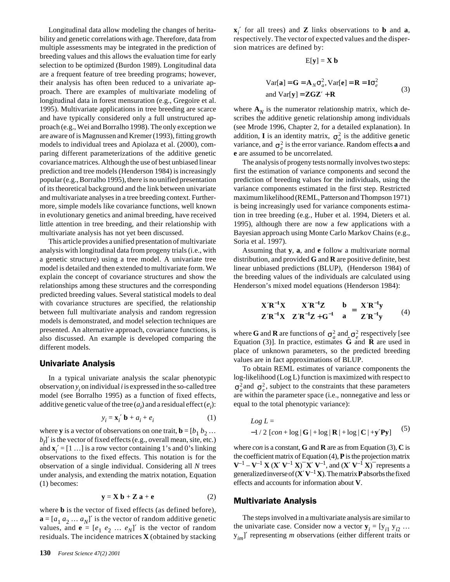Longitudinal data allow modeling the changes of heritability and genetic correlations with age. Therefore, data from multiple assessments may be integrated in the prediction of breeding values and this allows the evaluation time for early selection to be optimized (Burdon 1989). Longitudinal data are a frequent feature of tree breeding programs; however, their analysis has often been reduced to a univariate approach. There are examples of multivariate modeling of longitudinal data in forest mensuration (e.g., Gregoire et al. 1995). Multivariate applications in tree breeding are scarce and have typically considered only a full unstructured approach (e.g., Wei and Borralho 1998). The only exception we are aware of is Magnussen and Kremer (1993), fitting growth models to individual trees and Apiolaza et al. (2000), comparing different parameterizations of the additive genetic covariance matrices. Although the use of best unbiased linear prediction and tree models (Henderson 1984) is increasingly popular (e.g., Borralho 1995), there is no unified presentation of its theoretical background and the link between univariate and multivariate analyses in a tree breeding context. Furthermore, simple models like covariance functions, well known in evolutionary genetics and animal breeding, have received little attention in tree breeding, and their relationship with multivariate analysis has not yet been discussed.

This article provides a unified presentation of multivariate analysis with longitudinal data from progeny trials (i.e., with a genetic structure) using a tree model. A univariate tree model is detailed and then extended to multivariate form. We explain the concept of covariance structures and show the relationships among these structures and the corresponding predicted breeding values. Several statistical models to deal with covariance structures are specified, the relationship between full multivariate analysis and random regression models is demonstrated, and model selection techniques are presented. An alternative approach, covariance functions, is also discussed. An example is developed comparing the different models.

### Univariate Analysis

In a typical univariate analysis the scalar phenotypic  $\omega$  observation  $y_i$  on individual *i* is expressed in the so-called tree model (see Borralho 1995) as a function of fixed effects, additive genetic value of the tree  $(a_i)$  and a residual effect  $(e_i)$ :

$$
y_i = \mathbf{x}_i' \mathbf{b} + a_i + e_i \tag{1}
$$

where **y** is a vector of observations on one trait,  $\mathbf{b} = [b_1, b_2, \dots]$  $b_f$ ]' is the vector of fixed effects (e.g., overall mean, site, etc.) and  $\mathbf{x}_i' = [1 \dots]$  is a row vector containing 1's and 0's linking observations to the fixed effects. This notation is for the observation of a single individual. Considering all *N* trees under analysis, and extending the matrix notation, Equation (1) becomes:

$$
y = X b + Z a + e \tag{2}
$$

where **b** is the vector of fixed effects (as defined before),  $\mathbf{a} = [a_1 a_2 ... a_N]'$  is the vector of random additive genetic values, and  $\mathbf{e} = [e_1 \ e_2 \ ... \ e_N]^T$  is the vector of random residuals. The incidence matrices **X** (obtained by stacking

$$
E[y] = X b
$$
  
Var[**a**] = **G** = **A**<sub>N</sub> $\sigma_a^2$ , Var[**e**] = **R** = **I** $\sigma_e^2$   
and Var[y] = ZGZ' + **R** (3)

where  $\mathbf{A}_N$  is the numerator relationship matrix, which describes the additive genetic relationship among individuals (see Mrode 1996, Chapter 2, for a detailed explanation). In addition, **I** is an identity matrix,  $\sigma_a^2$  is the additive genetic variance, and  $\sigma_e^2$  is the error variance. Random effects **a** and **e** are assumed to be uncorrelated.

The analysis of progeny tests normally involves two steps: first the estimation of variance components and second the prediction of breeding values for the individuals, using the variance components estimated in the first step. Restricted maximum likelihood (REML, Patterson and Thompson 1971) is being increasingly used for variance components estimation in tree breeding (e.g., Huber et al. 1994, Dieters et al. 1995), although there are now a few applications with a Bayesian approach using Monte Carlo Markov Chains (e.g., Soria et al. 1997).

Assuming that **y**, **a**, and **e** follow a multivariate normal distribution, and provided **G** and **R** are positive definite, best linear unbiased predictions (BLUP), (Henderson 1984) of the breeding values of the individuals are calculated using Henderson's mixed model equations (Henderson 1984):

$$
\begin{bmatrix} X'R^{-1}X & X'R^{-1}Z \\ Z'R^{-1}X & Z'R^{-1}Z+G^{-1} \end{bmatrix} \begin{bmatrix} b \\ a \end{bmatrix} = \begin{bmatrix} X'R^{-1}y \\ Z'R^{-1}y \end{bmatrix}
$$
 (4)

where **G** and **R** are functions of  $\sigma_a^2$  and  $\sigma_e^2$  respectively [see Equation (3)]. In practice, estimates **G**ˆ and **R**ˆ are used in place of unknown parameters, so the predicted breeding values are in fact approximations of BLUP.

To obtain REML estimates of variance components the log-likelihood (Log L) function is maximized with respect to  $\sigma_a^2$  and  $\sigma_e^2$ , subject to the constraints that these parameters are within the parameter space (i.e., nonnegative and less or equal to the total phenotypic variance):

$$
Log L =
$$
  
-1/2 [con + log | G | + log | R | + log | C | +y'Py] (5)

where *con* is a constant, **G** and **R** are as from Equation (3), **C** is the coefficient matrix of Equation (4), **P** is the projection matrix  $V^{-1} - V^{-1} X (X' V^{-1} X)^{-1} X' V^{-1}$ , and  $(X' V^{-1} X)^{-1}$  represents a generalized inverse of  $(X'V^{-1}X)$ . The matrix **P** absorbs the fixed effects and accounts for information about **V**.

## Multivariate Analysis

The steps involved in a multivariate analysis are similar to the univariate case. Consider now a vector  $y_i = [y_{i1} \, y_{i2} \, \dots]$ y*im*]′ representing *m* observations (either different traits or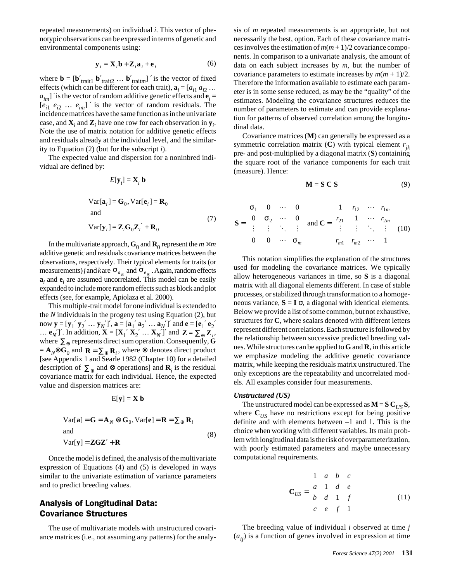repeated measurements) on individual *i*. This vector of phenotypic observations can be expressed in terms of genetic and environmental components using:

$$
\mathbf{y}_i = \mathbf{X}_i \mathbf{b} + \mathbf{Z}_i \mathbf{a}_i + \mathbf{e}_i
$$
 (6)

where  $\mathbf{b} = [\mathbf{b'}_{\text{trait1}} \; \mathbf{b'}_{\text{trait2}} \; \dots \; \mathbf{b'}_{\text{traitm}}]'$  is the vector of fixed effects (which can be different for each trait),  $\mathbf{a}_i = [a_{i1} a_{i2} \dots]$  $a_{im}$ ] ' is the vector of random additive genetic effects and  $e_i$  $[e_{i1} \, e_{i2} \, \ldots \, e_{im}]'$  is the vector of random residuals. The incidence matrices have the same function as in the univariate case, and  $\mathbf{X}_i$  and  $\mathbf{Z}_i$  have one row for each observation in  $\mathbf{y}_i$ . Note the use of matrix notation for additive genetic effects and residuals already at the individual level, and the similarity to Equation (2) (but for the subscript *i*).

The expected value and dispersion for a noninbred individual are defined by:

$$
E[\mathbf{y}_i] = \mathbf{X}_i \mathbf{b}
$$

$$
Var[\mathbf{a}_i] = \mathbf{G}_0, Var[\mathbf{e}_i] = \mathbf{R}_0
$$
  
and  

$$
Var[\mathbf{y}_i] = \mathbf{Z}_i \mathbf{G}_0 \mathbf{Z}_i' + \mathbf{R}_0
$$
 (7)

In the multivariate approach,  $\mathbf{G}_0$  and  $\mathbf{R}_0$  represent the  $m \times m$ additive genetic and residuals covariance matrices between the observations, respectively. Their typical elements for traits (or measurements) *j* and *k* are  $\sigma_{a_{ik}}$  and  $\sigma_{e_{ik}}$ . Again, random effects  $a_i$  and  $e_i$  are assumed uncorrelated. This model can be easily expanded to include more random effects such as block and plot effects (see, for example, Apiolaza et al. 2000).

This multiple-trait model for one individual is extended to the *N* individuals in the progeny test using Equation (2), but now  $\mathbf{y} = [\mathbf{y}_1' \mathbf{y}_2' \dots \mathbf{y}_N']'$ ,  $\mathbf{a} = [\mathbf{a}_1' \mathbf{a}_2' \dots \mathbf{a}_N']'$  and  $\mathbf{e} = [\mathbf{e}_1' \mathbf{e}_2']$ ...  $\mathbf{e}_N'$ ]'. In addition,  $\mathbf{X} = [\mathbf{X}_1' \mathbf{X}_2' \dots \mathbf{X}_N']'$  and  $\mathbf{Z} = \sum_{\oplus} \mathbf{Z}_i$ , where  $\Sigma_{\oplus}$  represents direct sum operation. Consequently, **G**  $=$  **A**<sub>*N*</sub>⊗G<sub>0</sub> and  $\mathbf{R} = \sum_{\oplus} \mathbf{R}_i$ , where ⊗ denotes direct product [see Appendix 1 and Searle 1982 (Chapter 10) for a detailed description of  $\Sigma_{\oplus}$  and ⊗ operations] and  $\mathbf{R}_i$  is the residual covariance matrix for each individual. Hence, the expected value and dispersion matrices are:

$$
E[y] = X b
$$

$$
Var[\mathbf{a}] = \mathbf{G} = \mathbf{A}_N \otimes \mathbf{G}_0, Var[\mathbf{e}] = \mathbf{R} = \sum_{\oplus} \mathbf{R}_i
$$
  
and  

$$
Var[\mathbf{y}] = \mathbf{Z} \mathbf{G} \mathbf{Z}' + \mathbf{R}
$$
 (8)

Once the model is defined, the analysis of the multivariate expression of Equations (4) and (5) is developed in ways similar to the univariate estimation of variance parameters and to predict breeding values.

# Analysis of Longitudinal Data: Covariance Structures

The use of multivariate models with unstructured covariance matrices (i.e., not assuming any patterns) for the analysis of *m* repeated measurements is an appropriate, but not necessarily the best, option. Each of these covariance matrices involves the estimation of  $m(m + 1)/2$  covariance components. In comparison to a univariate analysis, the amount of data on each subject increases by *m*, but the number of covariance parameters to estimate increases by  $m(m + 1)/2$ . Therefore the information available to estimate each parameter is in some sense reduced, as may be the "quality" of the estimates. Modeling the covariance structures reduces the number of parameters to estimate and can provide explanation for patterns of observed correlation among the longitudinal data.

Covariance matrices (**M**) can generally be expressed as a symmetric correlation matrix  $(C)$  with typical element  $r_{ik}$ pre- and post-multiplied by a diagonal matrix (**S**) containing the square root of the variance components for each trait (measure). Hence:

$$
\mathbf{M} = \mathbf{S} \mathbf{C} \mathbf{S} \tag{9}
$$

$$
\mathbf{S} = \begin{bmatrix} \sigma_1 & 0 & \cdots & 0 \\ 0 & \sigma_2 & \cdots & 0 \\ \vdots & \vdots & \ddots & \vdots \\ 0 & 0 & \cdots & \sigma_m \end{bmatrix} \text{ and } \mathbf{C} = \begin{bmatrix} 1 & r_{12} & \cdots & r_{1m} \\ r_{21} & 1 & \cdots & r_{2m} \\ \vdots & \vdots & \ddots & \vdots \\ r_{m1} & r_{m2} & \cdots & 1 \end{bmatrix} (10)
$$

This notation simplifies the explanation of the structures used for modeling the covariance matrices. We typically allow heterogeneous variances in time, so **S** is a diagonal matrix with all diagonal elements different. In case of stable processes, or stabilized through transformation to a homogeneous variance,  $S = I \sigma$ , a diagonal with identical elements. Below we provide a list of some common, but not exhaustive, structures for **C**, where scalars denoted with different letters represent different correlations. Each structure is followed by the relationship between successive predicted breeding values. While structures can be applied to **G** and **R**, in this article we emphasize modeling the additive genetic covariance matrix, while keeping the residuals matrix unstructured. The only exceptions are the repeatability and uncorrelated models. All examples consider four measurements.

#### *Unstructured (US)*

The unstructured model can be expressed as  $M = S C_{US} S$ , where  $C_{\text{US}}$  have no restrictions except for being positive definite and with elements between –1 and 1. This is the choice when working with different variables. Its main problem with longitudinal data is the risk of overparameterization, with poorly estimated parameters and maybe unnecessary computational requirements.

$$
\mathbf{C}_{US} = \begin{bmatrix} 1 & a & b & c \\ a & 1 & d & e \\ b & d & 1 & f \\ c & e & f & 1 \end{bmatrix}
$$
 (11)

The breeding value of individual *i* observed at time *j*  $(a_{ij})$  is a function of genes involved in expression at time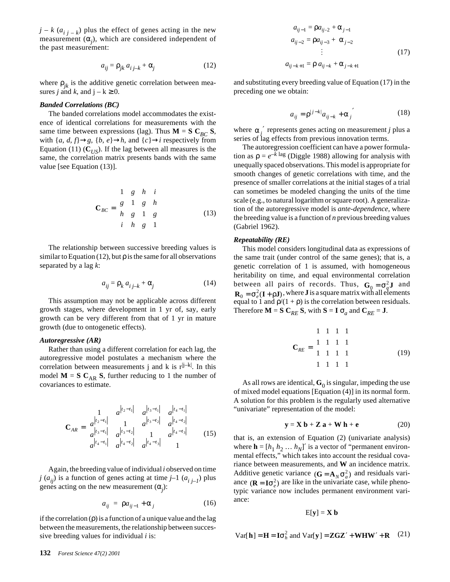$j - k$  ( $a_{i,i-k}$ ) plus the effect of genes acting in the new measurement (α*<sup>j</sup>* ), which are considered independent of the past measurement:

$$
a_{ij} = \rho_{jk} a_{i j-k} + \alpha_j \tag{12}
$$

where  $\rho_{ik}$  is the additive genetic correlation between measures *j* and *k*, and  $j - k \ge 0$ .

#### *Banded Correlations (BC)*

The banded correlations model accommodates the existence of identical correlations for measurements with the same time between expressions (lag). Thus  $M = S C_{BC} S$ , with  $\{a, d, f\} \rightarrow g$ ,  $\{b, e\} \rightarrow h$ , and  $\{c\} \rightarrow i$  respectively from Equation (11)  $(C_{US})$ . If the lag between all measures is the same, the correlation matrix presents bands with the same value [see Equation (13)].

$$
\mathbf{C}_{BC} = \begin{bmatrix} 1 & g & h & i \\ g & 1 & g & h \\ h & g & 1 & g \\ i & h & g & 1 \end{bmatrix}
$$
 (13)

The relationship between successive breeding values is similar to Equation (12), but  $\rho$  is the same for all observations separated by a lag *k*:

$$
a_{ij} = \rho_k a_{i,j-k} + \alpha_j \tag{14}
$$

This assumption may not be applicable across different growth stages, where development in 1 yr of, say, early growth can be very different from that of 1 yr in mature growth (due to ontogenetic effects).

#### *Autoregressive (AR)*

Rather than using a different correlation for each lag, the autoregressive model postulates a mechanism where the correlation between measurements j and k is  $r^{j-k}$ . In this model  $M = S C_{AR} S$ , further reducing to 1 the number of covariances to estimate.

$$
\mathbf{C}_{AR} = \begin{bmatrix} 1 & a^{|t_2 - t_1|} & a^{|t_3 - t_1|} & a^{|t_4 - t_1|} \\ a^{|t_2 - t_1|} & 1 & a^{|t_3 - t_2|} & a^{|t_4 - t_2|} \\ a^{|t_3 - t_1|} & a^{|t_3 - t_2|} & 1 & a^{|t_4 - t_3|} \\ a^{|t_4 - t_1|} & a^{|t_4 - t_2|} & a^{|t_4 - t_3|} & 1 \end{bmatrix}
$$
(15)

Again, the breeding value of individual *i* observed on time  $j(a_{ij})$  is a function of genes acting at time  $j-1(a_{i,i-1})$  plus genes acting on the new measurement  $(\alpha_j)$ :

$$
a_{ij} = \rho a_{ij-1} + \alpha_j \tag{16}
$$

if the correlation  $(\rho)$  is a function of a unique value and the lag between the measurements, the relationship between successive breeding values for individual *i* is:

$$
a_{ij-1} = \rho a_{ij-2} + \alpha_{j-1}
$$
  
\n
$$
a_{ij-2} = \rho a_{ij-3} + \alpha_{j-2}
$$
  
\n
$$
\vdots
$$
  
\n
$$
a_{ij-k+1} = \rho a_{ij-k} + \alpha_{j-k+1}
$$
\n(17)

and substituting every breeding value of Equation (17) in the preceding one we obtain:

$$
a_{ij} = \rho^{|j-k|} a_{ij-k} + \alpha_j' \tag{18}
$$

where  $\alpha_j'$  represents genes acting on measurement *j* plus a series of lag effects from previous innovation terms.

The autoregression coefficient can have a power formulation as  $\rho = e^{-k \log}$  (Diggle 1988) allowing for analysis with unequally spaced observations. This model is appropriate for smooth changes of genetic correlations with time, and the presence of smaller correlations at the initial stages of a trial can sometimes be modeled changing the units of the time scale (e.g., to natural logarithm or square root). A generalization of the autoregressive model is *ante-dependence*, where the breeding value is a function of *n* previous breeding values (Gabriel 1962).

#### *Repeatability (RE)*

This model considers longitudinal data as expressions of the same trait (under control of the same genes); that is, a genetic correlation of 1 is assumed, with homogeneous heritability on time, and equal environmental correlation between all pairs of records. Thus,  $G_0 = \sigma_a^2 J$  and  $\mathbf{R}_0 = \sigma_e^2(\mathbf{I} + \rho \mathbf{J})$ , where **J** is a square matrix with all elements equal to 1 and  $p/(1 + p)$  is the correlation between residuals. Therefore  $\mathbf{M} = \mathbf{S} \mathbf{C}_{RE} \mathbf{S}$ , with  $\mathbf{S} = \mathbf{I} \sigma_a$  and  $\mathbf{C}_{RE} = \mathbf{J}$ .

$$
\mathbf{C}_{RE} = \begin{bmatrix} 1 & 1 & 1 & 1 \\ 1 & 1 & 1 & 1 \\ 1 & 1 & 1 & 1 \\ 1 & 1 & 1 & 1 \end{bmatrix}
$$
(19)

As all rows are identical,  $\mathbf{G}_0$  is singular, impeding the use of mixed model equations [Equation (4)] in its normal form. A solution for this problem is the regularly used alternative "univariate" representation of the model:

$$
\mathbf{y} = \mathbf{X} \, \mathbf{b} + \mathbf{Z} \, \mathbf{a} + \mathbf{W} \, \mathbf{h} + \mathbf{e} \tag{20}
$$

that is, an extension of Equation (2) (univariate analysis) where  $\mathbf{h} = [h_1 \ h_2 \ ... \ h_N]'$  is a vector of "permanent environmental effects," which takes into account the residual covariance between measurements, and **W** an incidence matrix. Additive genetic variance  $(G = A_N \sigma_a^2)$  and residuals variance  $({\bf R} = I\sigma_e^2)$  are like in the univariate case, while phenotypic variance now includes permanent environment variance:

$$
E[y] = X b
$$

$$
Var[\mathbf{h}] = \mathbf{H} = \mathbf{I}\sigma_h^2 \text{ and } Var[\mathbf{y}] = \mathbf{Z} \mathbf{G} \mathbf{Z}' + \mathbf{W} \mathbf{H} \mathbf{W}' + \mathbf{R} \quad (21)
$$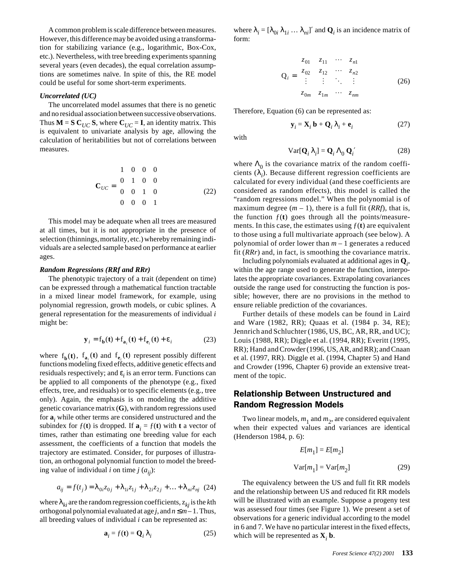A common problem is scale difference between measures. However, this difference may be avoided using a transformation for stabilizing variance (e.g., logarithmic, Box-Cox, etc.). Nevertheless, with tree breeding experiments spanning several years (even decades), the equal correlation assumptions are sometimes naïve. In spite of this, the RE model could be useful for some short-term experiments.

#### *Uncorrelated (UC)*

The uncorrelated model assumes that there is no genetic and no residual association between successive observations. Thus  $M = S C_{UC} S$ , where  $C_{UC} = I$ , an identity matrix. This is equivalent to univariate analysis by age, allowing the calculation of heritabilities but not of correlations between measures.

$$
\mathbf{C}_{UC} = \begin{bmatrix} 1 & 0 & 0 & 0 \\ 0 & 1 & 0 & 0 \\ 0 & 0 & 1 & 0 \\ 0 & 0 & 0 & 1 \end{bmatrix}
$$
 (22)

This model may be adequate when all trees are measured at all times, but it is not appropriate in the presence of selection (thinnings, mortality, etc.) whereby remaining individuals are a selected sample based on performance at earlier ages.

#### *Random Regressions (RRf and RRr)*

The phenotypic trajectory of a trait (dependent on time) can be expressed through a mathematical function tractable in a mixed linear model framework, for example, using polynomial regression, growth models, or cubic splines. A general representation for the measurements of individual *i* might be:

$$
\mathbf{y}_i = \mathbf{f_b(t)} + \mathbf{f_a}_i(t) + \mathbf{f_{e_i}(t)} + \mathbf{\varepsilon}_i
$$
 (23)

where  $f_{\bf b}({\bf t})$ ,  $f_{{\bf a}_i}({\bf t})$  and  $f_{{\bf e}_i}({\bf t})$  represent possibly different functions modeling fixed effects, additive genetic effects and residuals respectively; and ε*<sup>i</sup>* is an error term. Functions can be applied to all components of the phenotype (e.g., fixed effects, tree, and residuals) or to specific elements (e.g., tree only). Again, the emphasis is on modeling the additive genetic covariance matrix (**G**), with random regressions used for **a***<sup>i</sup>* while other terms are considered unstructured and the subindex for  $f(\mathbf{t})$  is dropped. If  $\mathbf{a}_i = f(\mathbf{t})$  with **t** a vector of times, rather than estimating one breeding value for each assessment, the coefficients of a function that models the trajectory are estimated. Consider, for purposes of illustration, an orthogonal polynomial function to model the breeding value of individual *i* on time *j*  $(a_{ij})$ :

$$
a_{ij}=f(t_j)=\lambda_{0i}z_{0j}+\lambda_{1i}z_{1j}+\lambda_{2i}z_{2j}+\ldots+\lambda_{ni}z_{nj}\;\;(24)
$$

where  $\lambda_{ki}$  are the random regression coefficients,  $z_{ki}$  is the *k*th orthogonal polynomial evaluated at age *j*, and  $n \le m-1$ . Thus, all breeding values of individual *i* can be represented as:

$$
\mathbf{a}_i = f(\mathbf{t}) = \mathbf{Q}_i \lambda_i \tag{25}
$$

where  $\lambda_i = [\lambda_{0i} \lambda_{1i} \dots \lambda_{ni}]'$  and  $\mathbf{Q}_i$  is an incidence matrix of form:

$$
Q_{i} = \begin{bmatrix} z_{01} & z_{11} & \cdots & z_{n1} \\ z_{02} & z_{12} & \cdots & z_{n2} \\ \vdots & \vdots & \ddots & \vdots \\ z_{0m} & z_{1m} & \cdots & z_{nm} \end{bmatrix}
$$
 (26)

Therefore, Equation (6) can be represented as:

$$
\mathbf{y}_i = \mathbf{X}_i \mathbf{b} + \mathbf{Q}_i \lambda_i + \mathbf{e}_i \tag{27}
$$

with

$$
Var[\mathbf{Q}_i \lambda_i] = \mathbf{Q}_i \Lambda_0 \mathbf{Q}_i' \tag{28}
$$

where  $\Lambda_0$  is the covariance matrix of the random coefficients (λ*<sup>i</sup>* ). Because different regression coefficients are calculated for every individual (and these coefficients are considered as random effects), this model is called the "random regressions model." When the polynomial is of maximum degree  $(m - 1)$ , there is a full fit  $(RRf)$ , that is, the function  $f(t)$  goes through all the points/measurements. In this case, the estimates using  $f(t)$  are equivalent to those using a full multivariate approach (see below). A polynomial of order lower than *m* – 1 generates a reduced fit (*RRr*) and, in fact, is smoothing the covariance matrix.

Including polynomials evaluated at additional ages in **Q***<sup>i</sup>* , within the age range used to generate the function, interpolates the appropriate covariances. Extrapolating covariances outside the range used for constructing the function is possible; however, there are no provisions in the method to ensure reliable prediction of the covariances.

Further details of these models can be found in Laird and Ware (1982, RR); Quaas et al. (1984 p. 34, RE); Jennrich and Schluchter (1986, US, BC, AR, RR, and UC); Louis (1988, RR); Diggle et al. (1994, RR); Everitt (1995, RR); Hand and Crowder (1996, US, AR, and RR); and Cnaan et al. (1997, RR). Diggle et al. (1994, Chapter 5) and Hand and Crowder (1996, Chapter 6) provide an extensive treatment of the topic.

# Relationship Between Unstructured and Random Regression Models

Two linear models,  $m_1$  and  $m_2$ , are considered equivalent when their expected values and variances are identical (Henderson 1984, p. 6):

$$
E[m_1] = E[m_2]
$$
  
Var $[m_1]$  = Var $[m_2]$  (29)

The equivalency between the US and full fit RR models and the relationship between US and reduced fit RR models will be illustrated with an example. Suppose a progeny test was assessed four times (see Figure 1). We present a set of observations for a generic individual according to the model in 6 and 7. We have no particular interest in the fixed effects, which will be represented as  $X_i$  **b**.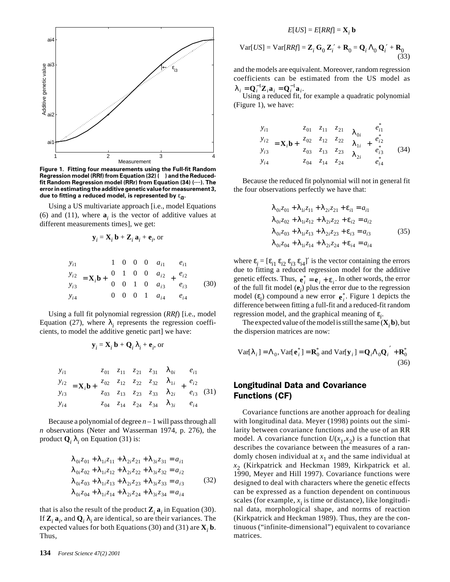

**Figure 1. Fitting four measurements using the Full-fit Random Regression model (RRf) from Equation (32) () and the Reducedfit Random Regression model (RRr) from Equation (34) (....). The error in estimating the additive genetic value for measurement 3, due to fitting a reduced model, is represented by**  $ε$ **<sub>***B***</sub>.** 

Using a US multivariate approach [i.e., model Equations (6) and (11), where  $\mathbf{a}_i$  is the vector of additive values at different measurements times], we get:

$$
\mathbf{y}_i = \mathbf{X}_i \mathbf{b} + \mathbf{Z}_i \mathbf{a}_i + \mathbf{e}_i
$$
, or

$$
\begin{bmatrix} y_{i1} \\ y_{i2} \\ y_{i3} \\ y_{i4} \end{bmatrix} = \mathbf{X}_i \mathbf{b} + \begin{bmatrix} 1 & 0 & 0 & 0 \\ 0 & 1 & 0 & 0 \\ 0 & 0 & 1 & 0 \\ 0 & 0 & 0 & 1 \end{bmatrix} \begin{bmatrix} a_{i1} \\ a_{i2} \\ a_{i3} \\ a_{i4} \end{bmatrix} + \begin{bmatrix} e_{i1} \\ e_{i2} \\ e_{i3} \\ e_{i4} \end{bmatrix}
$$
(30)

Using a full fit polynomial regression (*RRf*) [i.e., model Equation (27), where  $\lambda_i$  represents the regression coefficients, to model the additive genetic part] we have:

$$
\mathbf{y}_i = \mathbf{X}_i \mathbf{b} + \mathbf{Q}_i \lambda_i + \mathbf{e}_i
$$
, or

$$
\begin{bmatrix} y_{i1} \\ y_{i2} \\ y_{i3} \\ y_{i4} \end{bmatrix} = \mathbf{X}_{i} \mathbf{b} + \begin{bmatrix} z_{01} & z_{11} & z_{21} & z_{31} \\ z_{02} & z_{12} & z_{22} & z_{32} \\ z_{03} & z_{13} & z_{23} & z_{33} \\ z_{04} & z_{14} & z_{24} & z_{34} \end{bmatrix} \begin{bmatrix} \lambda_{0i} \\ \lambda_{1i} \\ \lambda_{2i} \\ \lambda_{3i} \end{bmatrix} + \begin{bmatrix} e_{i1} \\ e_{i2} \\ e_{i3} \\ e_{i4} \end{bmatrix} (31)
$$

Because a polynomial of degree *n* – 1 will pass through all *n* observations (Neter and Wasserman 1974, p. 276), the product  $\mathbf{Q}_i \lambda_i$  on Equation (31) is:

$$
\lambda_{0i}z_{01} + \lambda_{1i}z_{11} + \lambda_{2i}z_{21} + \lambda_{3i}z_{31} = a_{i1} \n\lambda_{0i}z_{02} + \lambda_{1i}z_{12} + \lambda_{2i}z_{22} + \lambda_{3i}z_{32} = a_{i2} \n\lambda_{0i}z_{03} + \lambda_{1i}z_{13} + \lambda_{2i}z_{23} + \lambda_{3i}z_{33} = a_{i3} \n\lambda_{0i}z_{04} + \lambda_{1i}z_{14} + \lambda_{2i}z_{24} + \lambda_{3i}z_{34} = a_{i4}
$$
\n(32)

that is also the result of the product  $\mathbf{Z}_i \, \mathbf{a}_i$  in Equation (30). If  $\mathbf{Z}_i \, \mathbf{a}_i$ , and  $\mathbf{Q}_i \, \lambda_i$  are identical, so are their variances. The expected values for both Equations (30) and (31) are  $X_i$  **b**. Thus,

#### $E[US] = E[RRf] = \mathbf{X}_i \mathbf{b}$

$$
Var[US] = Var[RRf] = \mathbf{Z}_i \mathbf{G}_0 \mathbf{Z}_i' + \mathbf{R}_0 = \mathbf{Q}_i \Lambda_0 \mathbf{Q}_i' + \mathbf{R}_0
$$
\n(33)

and the models are equivalent. Moreover, random regression coefficients can be estimated from the US model as  $\lambda_i = \mathbf{Q}_i^{-1} \mathbf{Z}_i \mathbf{a}_i = \mathbf{Q}_i^{-1} \mathbf{a}_i.$ 

Using a reduced fit, for example a quadratic polynomial (Figure 1), we have:

$$
\begin{bmatrix} y_{i1} \\ y_{i2} \\ y_{i3} \\ y_{i4} \end{bmatrix} = \mathbf{X}_{i} \mathbf{b} + \begin{bmatrix} z_{01} & z_{11} & z_{21} \\ z_{02} & z_{12} & z_{22} \\ z_{03} & z_{13} & z_{23} \\ z_{04} & z_{14} & z_{24} \end{bmatrix} \begin{bmatrix} \lambda_{0i} \\ \lambda_{1i} \\ \lambda_{2i} \end{bmatrix} + \begin{bmatrix} e_{i1}^* \\ e_{i2}^* \\ e_{i3}^* \\ e_{i4}^* \end{bmatrix}
$$
(34)

Because the reduced fit polynomial will not in general fit the four observations perfectly we have that:

$$
\lambda_{0i}z_{01} + \lambda_{1i}z_{11} + \lambda_{2i}z_{21} + \varepsilon_{i1} = a_{i1} \n\lambda_{0i}z_{02} + \lambda_{1i}z_{12} + \lambda_{2i}z_{22} + \varepsilon_{i2} = a_{i2} \n\lambda_{0i}z_{03} + \lambda_{1i}z_{13} + \lambda_{2i}z_{23} + \varepsilon_{i3} = a_{i3} \n\lambda_{0i}z_{04} + \lambda_{1i}z_{14} + \lambda_{2i}z_{24} + \varepsilon_{i4} = a_{i4}
$$
\n(35)

where  $\varepsilon_i = [\varepsilon_{i1} \varepsilon_{i2} \varepsilon_{i3} \varepsilon_{i4}]'$  is the vector containing the errors due to fitting a reduced regression model for the additive genetic effects. Thus,  $\mathbf{e}_i^* = \mathbf{e}_i + \mathbf{\varepsilon}_i$ . In other words, the error of the full fit model  $(e_i)$  plus the error due to the regression model  $(\varepsilon_i)$  compound a new error  $\mathbf{e}_i^*$ . Figure 1 depicts the difference between fitting a full-fit and a reduced-fit random regression model, and the graphical meaning of ε*<sup>i</sup>* .

The expected value of the model is still the same  $(X_i, b)$ , but the dispersion matrices are now:

$$
Var[\lambda_i] = \Lambda_0, Var[\mathbf{e}_i^*] = \mathbf{R}_0^* \text{ and } Var[\mathbf{y}_i] = \mathbf{Q}_i \Lambda_0 \mathbf{Q}_i^{\prime} + \mathbf{R}_0^* \tag{36}
$$

# Longitudinal Data and Covariance Functions (CF)

Covariance functions are another approach for dealing with longitudinal data. Meyer (1998) points out the similarity between covariance functions and the use of an RR model. A covariance function  $U(x_1, x_2)$  is a function that describes the covariance between the measures of a randomly chosen individual at  $x_1$  and the same individual at  $x<sub>2</sub>$  (Kirkpatrick and Heckman 1989, Kirkpatrick et al. 1990, Meyer and Hill 1997). Covariance functions were designed to deal with characters where the genetic effects can be expressed as a function dependent on continuous scales (for example,  $x_i$  is time or distance), like longitudinal data, morphological shape, and norms of reaction (Kirkpatrick and Heckman 1989). Thus, they are the continuous ("infinite-dimensional") equivalent to covariance matrices.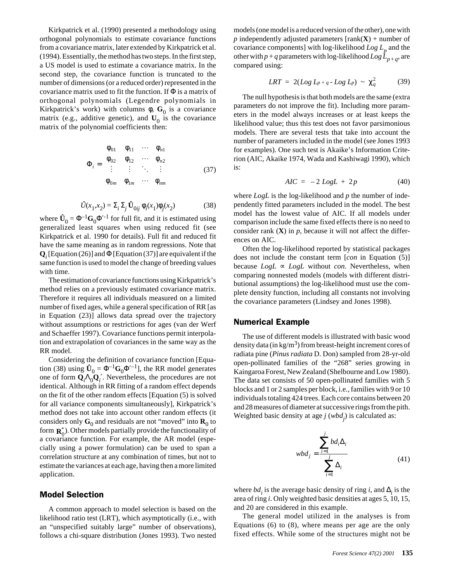Kirkpatrick et al. (1990) presented a methodology using orthogonal polynomials to estimate covariance functions from a covariance matrix, later extended by Kirkpatrick et al. (1994). Essentially, the method has two steps. In the first step, a US model is used to estimate a covariance matrix. In the second step, the covariance function is truncated to the number of dimensions (or a reduced order) represented in the covariance matrix used to fit the function. If Φ is a matrix of orthogonal polynomials (Legendre polynomials in Kirkpatrick's work) with columns  $\phi$ ,  $G_0$  is a covariance matrix (e.g., additive genetic), and  $U_0$  is the covariance matrix of the polynomial coefficients then:

$$
\Phi_i = \begin{bmatrix}\n\phi_{01} & \phi_{11} & \cdots & \phi_{n1} \\
\phi_{02} & \phi_{12} & \cdots & \phi_{n2} \\
\vdots & \vdots & \ddots & \vdots \\
\phi_{0m} & \phi_{1m} & \cdots & \phi_{nm}\n\end{bmatrix}
$$
\n(37)

$$
\hat{U}(x_1, x_2) = \Sigma_i \Sigma_j \hat{\mathbf{U}}_{0ij} \phi_i(x_1) \phi_j(x_2)
$$
 (38)

where  $\hat{\mathbf{U}}_0 = \Phi^{-1} \mathbf{G}_0 \Phi'^{-1}$  for full fit, and it is estimated using generalized least squares when using reduced fit (see Kirkpatrick et al. 1990 for details). Full fit and reduced fit have the same meaning as in random regressions. Note that  $\mathbf{Q}_i$  [Equation (26)] and  $\Phi$  [Equation (37)] are equivalent if the same function is used to model the change of breeding values with time.

The estimation of covariance functions using Kirkpatrick's method relies on a previously estimated covariance matrix. Therefore it requires all individuals measured on a limited number of fixed ages, while a general specification of RR [as in Equation (23)] allows data spread over the trajectory without assumptions or restrictions for ages (van der Werf and Schaeffer 1997). Covariance functions permit interpolation and extrapolation of covariances in the same way as the RR model.

Considering the definition of covariance function [Equation (38) using  $\hat{\mathbf{U}}_0 = \Phi^{-1} \mathbf{G}_0 \Phi'^{-1}$ , the RR model generates one of form  $\mathbf{Q}_i \Lambda_0 \mathbf{Q}_i'$ . Nevertheless, the procedures are not identical. Although in RR fitting of a random effect depends on the fit of the other random effects [Equation (5) is solved for all variance components simultaneously], Kirkpatrick's method does not take into account other random effects (it considers only  $G_0$  and residuals are not "moved" into  $\mathbf{R}_0$  to form  $\mathbf{R}_0^*$ ). Other models partially provide the functionality of a covariance function. For example, the AR model (especially using a power formulation) can be used to span a correlation structure at any combination of times, but not to estimate the variances at each age, having then a more limited application.

## Model Selection

A common approach to model selection is based on the likelihood ratio test (LRT), which asymptotically (i.e., with an "unspecified suitably large" number of observations), follows a chi-square distribution (Jones 1993). Two nested

models (one model is a reduced version of the other), one with *p* independently adjusted parameters  $[rank(X) + number of$ covariance components] with  $\log$ -likelihood  $\log L_p$  and the other with  $p + q$  parameters with log-likelihood  $Log L_{p+q}$ , are compared using:

$$
LRT = 2(Log L_{p+q} - Log L_p) \sim \chi_q^2 \qquad (39)
$$

The null hypothesis is that both models are the same (extra parameters do not improve the fit). Including more parameters in the model always increases or at least keeps the likelihood value; thus this test does not favor parsimonious models. There are several tests that take into account the number of parameters included in the model (see Jones 1993 for examples). One such test is Akaike's Information Criterion (AIC, Akaike 1974, Wada and Kashiwagi 1990), which is:

$$
AIC = -2 Log L + 2p \tag{40}
$$

where *LogL* is the log-likelihood and *p* the number of independently fitted parameters included in the model. The best model has the lowest value of AIC. If all models under comparison include the same fixed effects there is no need to consider rank  $(X)$  in  $p$ , because it will not affect the differences on AIC.

Often the log-likelihood reported by statistical packages does not include the constant term [*con* in Equation (5)] because  $LogL \propto LogL$  without *con*. Nevertheless, when comparing nonnested models (models with different distributional assumptions) the log-likelihood must use the complete density function, including all constants not involving the covariance parameters (Lindsey and Jones 1998).

#### Numerical Example

The use of different models is illustrated with basic wood density data (in  $\text{kg/m}^3$ ) from breast-height increment cores of radiata pine (*Pinus radiata* D. Don) sampled from 28-yr-old open-pollinated families of the "268" series growing in Kaingaroa Forest, New Zealand (Shelbourne and Low 1980). The data set consists of 50 open-pollinated families with 5 blocks and 1 or 2 samples per block, i.e., families with 9 or 10 individuals totaling 424 trees. Each core contains between 20 and 28 measures of diameter at successive rings from the pith. Weighted basic density at age *j* (*wbd*<sub>*j*</sub>) is calculated as:

$$
wbd_j = \frac{\sum_{i=1}^j bd_i\Delta_i}{\sum_{i=1}^j \Delta_i}
$$
 (41)

where  $bd_i$  is the average basic density of ring *i*, and  $\Delta_i$  is the area of ring *i*. Only weighted basic densities at ages 5, 10, 15, and 20 are considered in this example.

The general model utilized in the analyses is from Equations (6) to (8), where means per age are the only fixed effects. While some of the structures might not be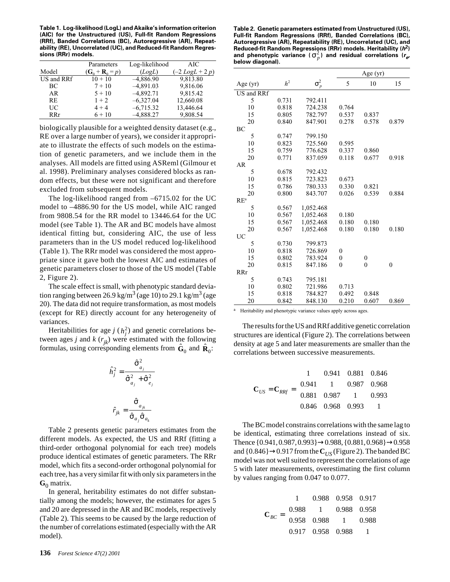**Table 1. Log-likelihood (LogL) and Akaike's information criterion (AIC) for the Unstructured (US), Full-fit Random Regressions (RRf), Banded Correlations (BC), Autoregressive (AR), Repeatability (RE), Uncorrelated (UC), and Reduced-fit Random Regressions (RRr) models.**

|            | Parameters                          | Log-likelihood | AIC                |
|------------|-------------------------------------|----------------|--------------------|
| Model      | $(\mathbf{G}_0 + \mathbf{R}_0 = p)$ | (LogL)         | $(-2 Log L + 2 p)$ |
| US and RRf | $10 + 10$                           | $-4,886.90$    | 9,813.80           |
| ВC         | $7 + 10$                            | $-4,891.03$    | 9,816.06           |
| AR         | $5 + 10$                            | $-4,892.71$    | 9,815.42           |
| <b>RE</b>  | $1 + 2$                             | $-6,327.04$    | 12,660.08          |
| UC         | $4 + 4$                             | $-6,715.32$    | 13,446.64          |
| <b>RRr</b> | $6 + 10$                            | $-4,888.27$    | 9,808.54           |

biologically plausible for a weighted density dataset (e.g., RE over a large number of years), we consider it appropriate to illustrate the effects of such models on the estimation of genetic parameters, and we include them in the analyses. All models are fitted using ASReml (Gilmour et al. 1998). Preliminary analyses considered blocks as random effects, but these were not significant and therefore excluded from subsequent models.

The log-likelihood ranged from –6715.02 for the UC model to –4886.90 for the US model, while AIC ranged from 9808.54 for the RR model to 13446.64 for the UC model (see Table 1). The AR and BC models have almost identical fitting but, considering AIC, the use of less parameters than in the US model reduced log-likelihood (Table 1). The RRr model was considered the most appropriate since it gave both the lowest AIC and estimates of genetic parameters closer to those of the US model (Table 2, Figure 2).

The scale effect is small, with phenotypic standard deviation ranging between 26.9 kg/m<sup>3</sup> (age 10) to 29.1 kg/m<sup>3</sup> (age 20). The data did not require transformation, as most models (except for RE) directly account for any heterogeneity of variances.

Heritabilities for age  $j(h_j^2)$  and genetic correlations between ages *j* and *k*  $(r_{ik})$  were estimated with the following formulas, using corresponding elements from  $\hat{\mathbf{G}}_0$  and  $\hat{\mathbf{R}}_0$ :

$$
\hat{h}_j^2 = \frac{\hat{\sigma}_{a_j}^2}{\hat{\sigma}_{a_j}^2 + \hat{\sigma}_{e_j}^2}
$$

$$
\hat{r}_{jk} = \frac{\hat{\sigma}_{a_{jk}}}{\hat{\sigma}_{a_j}\hat{\sigma}_{a_k}}
$$

Table 2 presents genetic parameters estimates from the different models. As expected, the US and RRf (fitting a third-order orthogonal polynomial for each tree) models produce identical estimates of genetic parameters. The RRr model, which fits a second-order orthogonal polynomial for each tree, has a very similar fit with only six parameters in the  $\mathbf{G}_0$  matrix.

In general, heritability estimates do not differ substantially among the models; however, the estimates for ages 5 and 20 are depressed in the AR and BC models, respectively (Table 2). This seems to be caused by the large reduction of the number of correlations estimated (especially with the AR model).

**Table 2. Genetic parameters estimated from Unstructured (US), Full-fit Random Regressions (RRf), Banded Correlations (BC), Autoregressive (AR), Repeatability (RE), Uncorrelated (UC), and Reduced-fit Random Regressions (RRr) models. Heritability (h2) and phenotypic variance (** $\sigma_p^2$ ) and residual correlations ( $\mathbf{r}_{e}$ , **below diagonal).**

|            |                |              | Age $(yr)$   |                  |                |
|------------|----------------|--------------|--------------|------------------|----------------|
| Age $(yr)$ | h <sup>2</sup> | $\sigma_p^2$ | 5            | 10               | 15             |
| US and RRf |                |              |              |                  |                |
| 5          | 0.731          | 792.411      |              |                  |                |
| 10         | 0.818          | 724.238      | 0.764        |                  |                |
| 15         | 0.805          | 782.797      | 0.537        | 0.837            |                |
| 20         | 0.840          | 847.901      | 0.278        | 0.578            | 0.879          |
| ВC         |                |              |              |                  |                |
| 5          | 0.747          | 799.150      |              |                  |                |
| 10         | 0.823          | 725.560      | 0.595        |                  |                |
| 15         | 0.759          | 776.628      | 0.337        | 0.860            |                |
| 20         | 0.771          | 837.059      | 0.118        | 0.677            | 0.918          |
| AR         |                |              |              |                  |                |
| 5          | 0.678          | 792.432      |              |                  |                |
| 10         | 0.815          | 723.823      | 0.673        |                  |                |
| 15         | 0.786          | 780.333      | 0.330        | 0.821            |                |
| 20         | 0.800          | 843.707      | 0.026        | 0.539            | 0.884          |
| $RE^a$     |                |              |              |                  |                |
| 5          | 0.567          | 1,052.468    |              |                  |                |
| 10         | 0.567          | 1,052.468    | 0.180        |                  |                |
| 15         | 0.567          | 1,052.468    | 0.180        | 0.180            |                |
| 20         | 0.567          | 1,052.468    | 0.180        | 0.180            | 0.180          |
| <b>UC</b>  |                |              |              |                  |                |
| 5          | 0.730          | 799.873      |              |                  |                |
| 10         | 0.818          | 726.869      | $\theta$     |                  |                |
| 15         | 0.802          | 783.924      | $\mathbf{0}$ | $\boldsymbol{0}$ |                |
| 20         | 0.815          | 847.186      | $\theta$     | $\mathbf{0}$     | $\overline{0}$ |
| <b>RRr</b> |                |              |              |                  |                |
| 5          | 0.743          | 795.181      |              |                  |                |
| 10         | 0.802          | 721.986      | 0.713        |                  |                |
| 15         | 0.818          | 784.827      | 0.492        | 0.848            |                |
| 20         | 0.842          | 848.130      | 0.210        | 0.607            | 0.869          |

<sup>a</sup> Heritability and phenotypic variance values apply across ages.

The results for the US and RRf additive genetic correlation structures are identical (Figure 2). The correlations between density at age 5 and later measurements are smaller than the correlations between successive measurements.

$$
\mathbf{C}_{US} = \mathbf{C}_{RRf} = \begin{bmatrix} 1 & 0.941 & 0.881 & 0.846 \\ 0.941 & 1 & 0.987 & 0.968 \\ 0.881 & 0.987 & 1 & 0.993 \\ 0.846 & 0.968 & 0.993 & 1 \end{bmatrix}
$$

The BC model constrains correlations with the same lag to be identical, estimating three correlations instead of six. Thence {0.941, 0.987, 0.993}→0.988, {0.881, 0.968}→0.958 and {0.846}→0.917 from the **C***US* (Figure 2). The banded BC model was not well suited to represent the correlations of age 5 with later measurements, overestimating the first column by values ranging from 0.047 to 0.077.

$$
\mathbf{C}_{BC} = \begin{bmatrix} 1 & 0.988 & 0.958 & 0.917 \\ 0.988 & 1 & 0.988 & 0.958 \\ 0.958 & 0.988 & 1 & 0.988 \\ 0.917 & 0.958 & 0.988 & 1 \end{bmatrix}
$$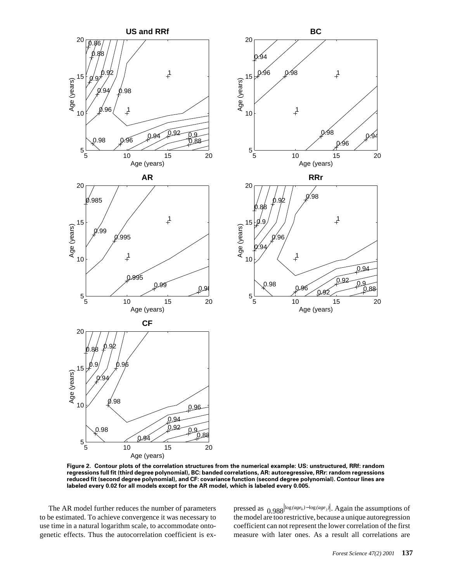

**Figure 2. Contour plots of the correlation structures from the numerical example: US: unstructured, RRf: random regressions full fit (third degree polynomial), BC: banded correlations, AR: autoregressive, RRr: random regressions reduced fit (second degree polynomial), and CF: covariance function (second degree polynomial). Contour lines are labeled every 0.02 for all models except for the AR model, which is labeled every 0.005.**

The AR model further reduces the number of parameters to be estimated. To achieve convergence it was necessary to use time in a natural logarithm scale, to accommodate ontogenetic effects. Thus the autocorrelation coefficient is expressed as  $0.988^{\log \frac{(age_k) - \log \left(\frac{age_j}{\right)}\right)}$ . Again the assumptions of the model are too restrictive, because a unique autoregression coefficient can not represent the lower correlation of the first measure with later ones. As a result all correlations are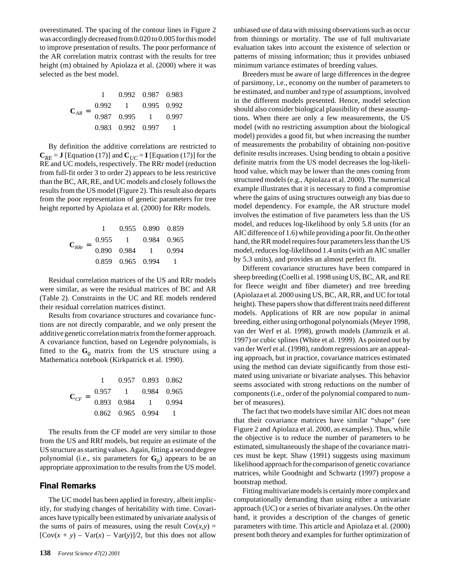overestimated. The spacing of the contour lines in Figure 2 was accordingly decreased from 0.020 to 0.005 for this model to improve presentation of results. The poor performance of the AR correlation matrix contrast with the results for tree height (m) obtained by Apiolaza et al. (2000) where it was selected as the best model.

| $\mathbf{C}_{AR}$ : |       |                                                         | 0.992 0.987 0.983 |               |  |
|---------------------|-------|---------------------------------------------------------|-------------------|---------------|--|
|                     | 0.992 |                                                         |                   | $0.995$ 0.992 |  |
|                     | 0.987 | 0.995                                                   |                   | 0.997         |  |
|                     |       | $\begin{array}{ ccc} 0.983 & 0.992 & 0.997 \end{array}$ |                   |               |  |

By definition the additive correlations are restricted to  $C_{RE} = J$  [Equation (17)] and  $C_{UC} = I$  [Equation (17)] for the RE and UC models, respectively. The RRr model (reduction from full-fit order 3 to order 2) appears to be less restrictive than the BC, AR, RE, and UC models and closely follows the results from the US model (Figure 2). This result also departs from the poor representation of genetic parameters for tree height reported by Apiolaza et al. (2000) for RRr models.

| $C_{RRr} = \begin{bmatrix} 0.955 & 1 & 0.984 & 0.965 \\ 0.890 & 0.984 & 1 & 0.994 \\ 0.859 & 0.965 & 0.994 & 1 \end{bmatrix}$ |  | $1$ 0.955 0.890 0.859 |
|-------------------------------------------------------------------------------------------------------------------------------|--|-----------------------|
|                                                                                                                               |  |                       |
|                                                                                                                               |  |                       |
|                                                                                                                               |  |                       |

Residual correlation matrices of the US and RRr models were similar, as were the residual matrices of BC and AR (Table 2). Constraints in the UC and RE models rendered their residual correlation matrices distinct.

Results from covariance structures and covariance functions are not directly comparable, and we only present the additive genetic correlation matrix from the former approach. A covariance function, based on Legendre polynomials, is fitted to the  $G_0$  matrix from the US structure using a Mathematica notebook (Kirkpatrick et al. 1990).

| $C_{CF} = \begin{vmatrix} 0.893 & 0.984 \end{vmatrix}$ |       |                                                       | $0.957$ 0.893 0.862                  |             |
|--------------------------------------------------------|-------|-------------------------------------------------------|--------------------------------------|-------------|
|                                                        | 0.957 | $\overline{1}$                                        |                                      | 0.984 0.965 |
|                                                        |       |                                                       | $\begin{array}{ccc} & 1 \end{array}$ | 0.994       |
|                                                        |       | $\begin{array}{ l} 0.862 & 0.965 & 0.994 \end{array}$ |                                      |             |

The results from the CF model are very similar to those from the US and RRf models, but require an estimate of the US structure as starting values. Again, fitting a second degree polynomial (i.e., six parameters for  $G_0$ ) appears to be an appropriate approximation to the results from the US model.

## Final Remarks

The UC model has been applied in forestry, albeit implicitly, for studying changes of heritability with time. Covariances have typically been estimated by univariate analysis of the sums of pairs of measures, using the result  $Cov(x, y) =$  $[Cov(x + y) - Var(x) - Var(y)]/2$ , but this does not allow

unbiased use of data with missing observations such as occur from thinnings or mortality. The use of full multivariate evaluation takes into account the existence of selection or patterns of missing information; thus it provides unbiased minimum variance estimates of breeding values.

Breeders must be aware of large differences in the degree of parsimony, i.e., economy on the number of parameters to be estimated, and number and type of assumptions, involved in the different models presented. Hence, model selection should also consider biological plausibility of these assumptions. When there are only a few measurements, the US model (with no restricting assumption about the biological model) provides a good fit, but when increasing the number of measurements the probability of obtaining non-positive definite results increases. Using bending to obtain a positive definite matrix from the US model decreases the log-likelihood value, which may be lower than the ones coming from structured models (e.g., Apiolaza et al. 2000). The numerical example illustrates that it is necessary to find a compromise where the gains of using structures outweigh any bias due to model dependency. For example, the AR structure model involves the estimation of five parameters less than the US model, and reduces log-likelihood by only 5.8 units (for an AIC difference of 1.6) while providing a poor fit. On the other hand, the RR model requires four parameters less than the US model, reduces log-likelihood 1.4 units (with an AIC smaller by 5.3 units), and provides an almost perfect fit.

Different covariance structures have been compared in sheep breeding (Coelli et al. 1998 using US, BC, AR, and RE for fleece weight and fiber diameter) and tree breeding (Apiolaza et al. 2000 using US, BC, AR, RR, and UC for total height). These papers show that different traits need different models. Applications of RR are now popular in animal breeding, either using orthogonal polynomials (Meyer 1998, van der Werf et al. 1998), growth models (Jamrozik et al. 1997) or cubic splines (White et al. 1999). As pointed out by van der Werf et al. (1998), random regressions are an appealing approach, but in practice, covariance matrices estimated using the method can deviate significantly from those estimated using univariate or bivariate analyses. This behavior seems associated with strong reductions on the number of components (i.e., order of the polynomial compared to number of measures).

The fact that two models have similar AIC does not mean that their covariance matrices have similar "shape" (see Figure 2 and Apiolaza et al. 2000, as examples). Thus, while the objective is to reduce the number of parameters to be estimated, simultaneously the shape of the covariance matrices must be kept. Shaw (1991) suggests using maximum likelihood approach for the comparison of genetic covariance matrices, while Goodnight and Schwartz (1997) propose a bootstrap method.

Fitting multivariate models is certainly more complex and computationally demanding than using either a univariate approach (UC) or a series of bivariate analyses. On the other hand, it provides a description of the changes of genetic parameters with time. This article and Apiolaza et al. (2000) present both theory and examples for further optimization of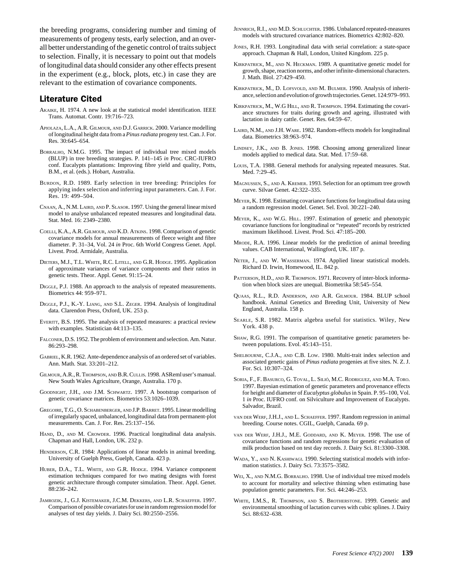the breeding programs, considering number and timing of measurements of progeny tests, early selection, and an overall better understanding of the genetic control of traits subject to selection. Finally, it is necessary to point out that models of longitudinal data should consider any other effects present in the experiment (e.g., block, plots, etc.) in case they are relevant to the estimation of covariance components.

## Literature Cited

- AKAIKE, H. 1974. A new look at the statistical model identification. IEEE Trans. Automat. Contr. 19:716–723.
- APIOLAZA, L.A., A.R. GILMOUR, AND D.J. GARRICK. 2000. Variance modelling of longitudinal height data from a *Pinus radiata* progeny test. Can. J. For. Res. 30:645–654.
- BORRALHO, N.M.G. 1995. The impact of individual tree mixed models (BLUP) in tree breeding strategies. P. 141–145 *in* Proc. CRC-IUFRO conf. Eucalypts plantations: Improving fibre yield and quality, Potts, B.M., et al. (eds.). Hobart, Australia.
- BURDON, R.D. 1989. Early selection in tree breeding: Principles for applying index selection and inferring input parameters. Can. J. For. Res. 19: 499–504.
- CNAAN, A., N.M. LAIRD, AND P. SLASOR. 1997. Using the general linear mixed model to analyse unbalanced repeated measures and longitudinal data. Stat. Med. 16: 2349–2380.
- COELLI, K.A., A.R. GILMOUR, AND K.D. ATKINS. 1998. Comparison of genetic covariance models for annual measurements of fleece weight and fibre diameter. P. 31–34, Vol. 24 *in* Proc. 6th World Congress Genet. Appl. Livest. Prod. Armidale, Australia.
- DIETERS, M.J., T.L. WHITE, R.C. LITELL, AND G.R. HODGE. 1995. Application of approximate variances of variance components and their ratios in genetic tests. Theor. Appl. Genet. 91:15–24.
- DIGGLE, P.J. 1988. An approach to the analysis of repeated measurements. Biometrics 44: 959–971.
- DIGGLE, P.J., K.-Y. LIANG, AND S.L. ZEGER. 1994. Analysis of longitudinal data. Clarendon Press, Oxford, UK. 253 p.
- EVERITT, B.S. 1995. The analysis of repeated measures: a practical review with examples. Statistician 44:113–135.
- FALCONER, D.S. 1952. The problem of environment and selection. Am. Natur. 86:293–298.
- GABRIEL, K.R. 1962. Ante-dependence analysis of an ordered set of variables. Ann. Math. Stat. 33:201–212.
- GILMOUR, A.R., R. THOMPSON, AND B.R. CULLIS. 1998. ASReml user's manual. New South Wales Agriculture, Orange, Australia. 170 p.
- GOODNIGHT, J.H., AND J.M. SCHWARTZ. 1997. A bootstrap comparison of genetic covariance matrices. Biometrics 53:1026–1039.
- GREGOIRE, T.G., O. SCHABENBERGER, AND J.P. BARRET. 1995. Linear modelling of irregularly spaced, unbalanced, longitudinal data from permanent-plot measurements. Can. J. For. Res. 25:137–156.
- HAND, D., AND M. CROWDER. 1996. Practical longitudinal data analysis. Chapman and Hall, London, UK. 232 p.
- HENDERSON, C.R. 1984: Applications of linear models in animal breeding. University of Guelph Press, Guelph, Canada. 423 p.
- HUBER, D.A., T.L. WHITE, AND G.R. HODGE. 1994. Variance component estimation techniques compared for two mating designs with forest genetic architecture through computer simulation. Theor. Appl. Genet. 88:236–242.
- JAMROZIK, J., G.J. KISTEMAKER, J.C.M. DEKKERS, AND L.R. SCHAEFFER. 1997. Comparison of possible covariates for use in random regression model for analyses of test day yields. J. Dairy Sci. 80:2550–2556.
- JENNRICH, R.I., AND M.D. SCHLUCHTER. 1986. Unbalanced repeated-measures models with structured covariance matrices. Biometrics 42:802–820.
- JONES, R.H. 1993. Longitudinal data with serial correlation: a state-space approach. Chapman & Hall, London, United Kingdom. 225 p.
- KIRKPATRICK, M., AND N. HECKMAN. 1989. A quantitative genetic model for growth, shape, reaction norms, and other infinite-dimensional characters. J. Math. Biol. 27:429–450.
- KIRKPATRICK, M., D. LOFSVOLD, AND M. BULMER. 1990. Analysis of inheritance, selection and evolution of growth trajectories. Genet. 124:979–993.
- KIRKPATRICK, M., W.G HILL, AND R. THOMPSON. 1994. Estimating the covariance structures for traits during growth and ageing, illustrated with lactation in dairy cattle. Genet. Res. 64:59–67.
- LAIRD, N.M., AND J.H. WARE. 1982. Random-effects models for longitudinal data. Biometrics 38:963–974.
- LINDSEY, J.K., AND B. JONES. 1998. Choosing among generalized linear models applied to medical data. Stat. Med. 17:59–68.
- LOUIS, T.A. 1988. General methods for analysing repeated measures. Stat. Med. 7:29–45.
- MAGNUSSEN, S., AND A. KREMER. 1993. Selection for an optimum tree growth curve. Silvae Genet. 42:322–335.
- MEYER, K. 1998. Estimating covariance functions for longitudinal data using a random regression model. Genet. Sel. Evol. 30:221–240.
- MEYER, K., AND W.G. HILL. 1997. Estimation of genetic and phenotypic covariance functions for longitudinal or "repeated" records by restricted maximum likelihood. Livest. Prod. Sci. 47:185–200.
- MRODE, R.A. 1996. Linear models for the prediction of animal breeding values. CAB International, Wallingford, UK. 187 p.
- NETER, J., AND W. WASSERMAN. 1974. Applied linear statistical models. Richard D. Irwin, Homewood, IL. 842 p.
- PATTERSON, H.D., AND R. THOMPSON. 1971. Recovery of inter-block information when block sizes are unequal. Biometrika 58:545–554.
- QUAAS, R.L., R.D. ANDERSON, AND A.R. GILMOUR. 1984. BLUP school handbook. Animal Genetics and Breeding Unit, University of New England, Australia. 158 p.
- SEARLE, S.R. 1982. Matrix algebra useful for statistics. Wiley, New York. 438 p.
- SHAW, R.G. 1991. The comparison of quantitative genetic parameters between populations. Evol. 45:143–151.
- SHELBOURNE, C.J.A., AND C.B. LOW. 1980. Multi-trait index selection and associated genetic gains of *Pinus radiata* progenies at five sites. N. Z. J. For. Sci. 10:307–324.
- SORIA, F., F. BASURCO, G. TOVAL, L. SILIÓ, M.C. RODRIGUEZ, AND M.A. TORO. 1997. Bayesian estimation of genetic parameters and provenance effects for height and diameter of *Eucalyptus globulus* in Spain. P. 95–100, Vol. 1 *in* Proc. IUFRO conf. on Silviculture and Improvement of Eucalypts. Salvador, Brazil.
- VAN DER WERF, J.H.J., AND L. SCHAEFFER. 1997. Random regression in animal breeding. Course notes. CGIL, Guelph, Canada. 69 p.
- VAN DER WERF, J.H.J., M.E. GODDARD, AND K. MEYER. 1998. The use of covariance functions and random regressions for genetic evaluation of milk production based on test day records. J. Dairy Sci. 81:3300–3308.
- WADA, Y., AND N. KASHIWAGI. 1990. Selecting statistical models with information statistics. J. Dairy Sci. 73:3575–3582.
- WEI, X., AND N.M.G. BORRALHO. 1998. Use of individual tree mixed models to account for mortality and selective thinning when estimating base population genetic parameters. For. Sci. 44:246–253.
- WHITE, I.M.S., R. THOMPSON, AND S. BROTHERSTONE. 1999. Genetic and environmental smoothing of lactation curves with cubic splines. J. Dairy Sci. 88:632–638.